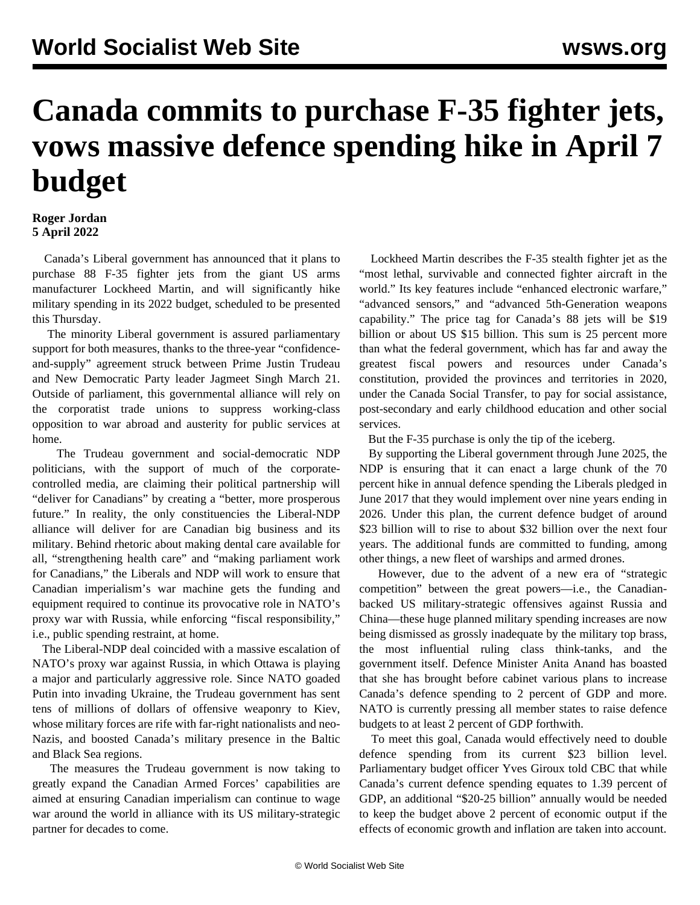## **Canada commits to purchase F-35 fighter jets, vows massive defence spending hike in April 7 budget**

## **Roger Jordan 5 April 2022**

 Canada's Liberal government has announced that it plans to purchase 88 F-35 fighter jets from the giant US arms manufacturer Lockheed Martin, and will significantly hike military spending in its 2022 budget, scheduled to be presented this Thursday.

 The minority Liberal government is assured parliamentary support for both measures, thanks to the three-year "confidenceand-supply" agreement struck between Prime Justin Trudeau and New Democratic Party leader Jagmeet Singh March 21. Outside of parliament, this governmental alliance will rely on the corporatist trade unions to suppress working-class opposition to war abroad and austerity for public services at home.

 The Trudeau government and social-democratic NDP politicians, with the support of much of the corporatecontrolled media, are claiming their political partnership will "deliver for Canadians" by creating a "better, more prosperous future." In reality, the only constituencies the Liberal-NDP alliance will deliver for are Canadian big business and its military. Behind rhetoric about making dental care available for all, "strengthening health care" and "making parliament work for Canadians," the Liberals and NDP will work to ensure that Canadian imperialism's war machine gets the funding and equipment required to continue its provocative role in NATO's proxy war with Russia, while enforcing "fiscal responsibility," i.e., public spending restraint, at home.

 The Liberal-NDP deal coincided with a massive escalation of NATO's proxy war against Russia, in which Ottawa is playing a major and particularly aggressive role. Since NATO goaded Putin into invading Ukraine, the Trudeau government has sent tens of millions of dollars of offensive weaponry to Kiev, whose military forces are rife with far-right nationalists and neo-Nazis, and boosted Canada's military presence in the Baltic and Black Sea regions.

 The measures the Trudeau government is now taking to greatly expand the Canadian Armed Forces' capabilities are aimed at ensuring Canadian imperialism can continue to wage war around the world in alliance with its US military-strategic partner for decades to come.

 Lockheed Martin describes the F-35 stealth fighter jet as the "most lethal, survivable and connected fighter aircraft in the world." Its key features include "enhanced electronic warfare," "advanced sensors," and "advanced 5th-Generation weapons capability." The price tag for Canada's 88 jets will be \$19 billion or about US \$15 billion. This sum is 25 percent more than what the federal government, which has far and away the greatest fiscal powers and resources under Canada's constitution, provided the provinces and territories in 2020, under the Canada Social Transfer, to pay for social assistance, post-secondary and early childhood education and other social services.

But the F-35 purchase is only the tip of the iceberg.

 By supporting the Liberal government through June 2025, the NDP is ensuring that it can enact a large chunk of the 70 percent hike in annual defence spending the Liberals pledged in June 2017 that they would implement over nine years ending in 2026. Under this plan, the current defence budget of around \$23 billion will to rise to about \$32 billion over the next four years. The additional funds are committed to funding, among other things, a new fleet of warships and armed drones.

 However, due to the advent of a new era of "strategic competition" between the great powers—i.e., the Canadianbacked US military-strategic offensives against Russia and China—these huge planned military spending increases are now being dismissed as grossly inadequate by the military top brass, the most influential ruling class think-tanks, and the government itself. Defence Minister Anita Anand has boasted that she has brought before cabinet various plans to increase Canada's defence spending to 2 percent of GDP and more. NATO is currently pressing all member states to raise defence budgets to at least 2 percent of GDP forthwith.

 To meet this goal, Canada would effectively need to double defence spending from its current \$23 billion level. Parliamentary budget officer Yves Giroux told CBC that while Canada's current defence spending equates to 1.39 percent of GDP, an additional "\$20-25 billion" annually would be needed to keep the budget above 2 percent of economic output if the effects of economic growth and inflation are taken into account.